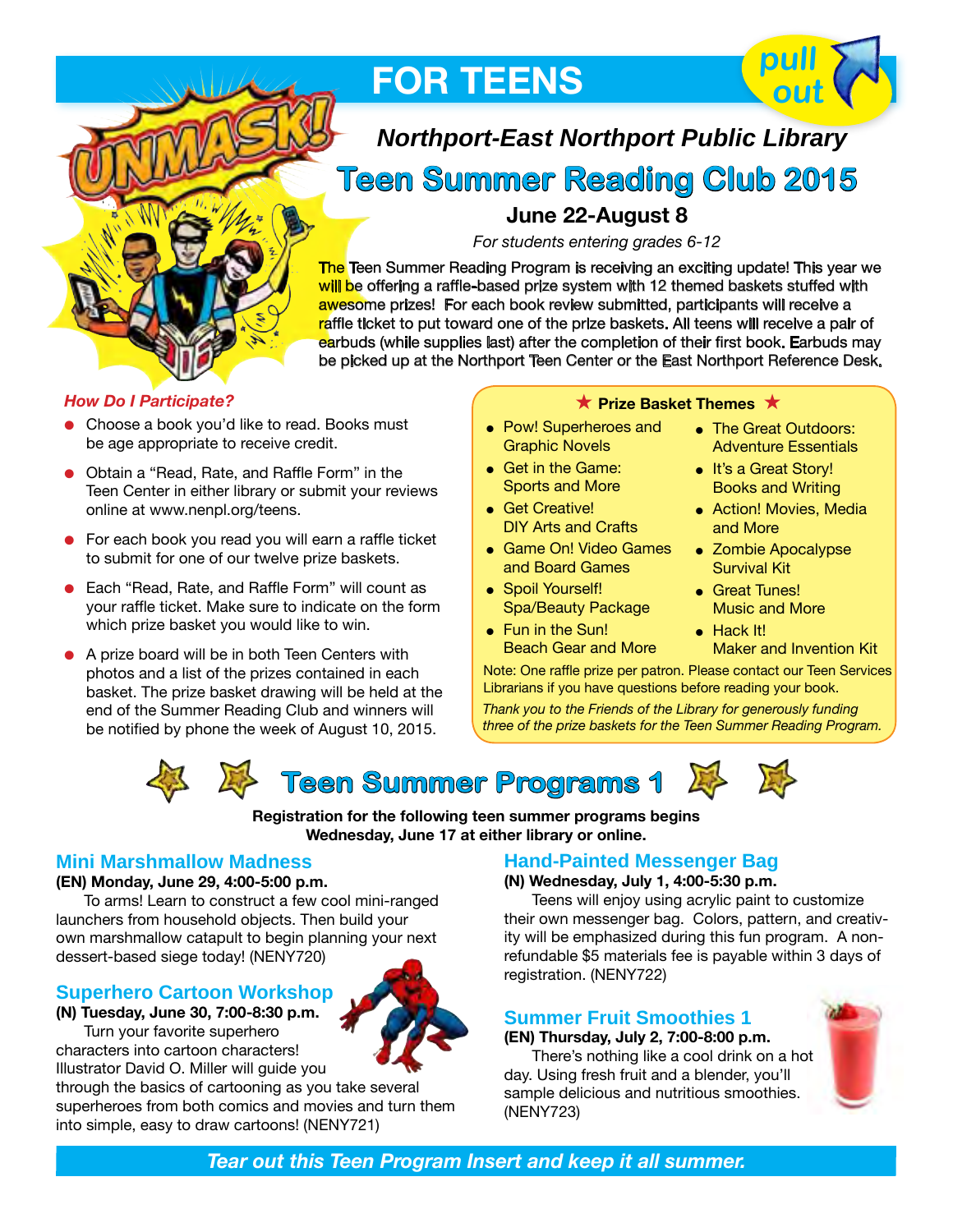

**FOR TEENS**



# *Northport-East Northport Public Library*

# **Teen Summer Reading Club 2015**

### **June 22-August 8**

*For students entering grades 6-12*

The Teen Summer Reading Program is receiving an exciting update! This year we will be offering a raffle-based prize system with 12 themed baskets stuffed with awesome prizes! For each book review submitted, participants will receive a raffle ticket to put toward one of the prize baskets. All teens will receive a pair of earbuds (while supplies last) after the completion of their first book. Earbuds may be picked up at the Northport Teen Center or the East Northport Reference Desk.

### *How Do I Participate?*

- Choose a book you'd like to read. Books must be age appropriate to receive credit.
- Obtain a "Read, Rate, and Raffle Form" in the Teen Center in either library or submit your reviews online at www.nenpl.org/teens.
- $\bullet$  For each book you read you will earn a raffle ticket to submit for one of our twelve prize baskets.
- Each "Read, Rate, and Raffle Form" will count as your raffle ticket. Make sure to indicate on the form which prize basket you would like to win.
- A prize board will be in both Teen Centers with photos and a list of the prizes contained in each basket. The prize basket drawing will be held at the end of the Summer Reading Club and winners will be notified by phone the week of August 10, 2015.

### **★ Prize Basket Themes ★**

- Pow! Superheroes and Graphic Novels
- Get in the Game: Sports and More
- **e** Get Creative! DIY Arts and Crafts
- **.** Game On! Video Games and Board Games
- Spoil Yourself! Spa/Beauty Package
- $\bullet$  Fun in the Sun! Beach Gear and More
- The Great Outdoors: Adventure Essentials
- It's a Great Story! Books and Writing
- Action! Movies, Media and More
- Zombie Apocalypse Survival Kit
- **e** Great Tunes! Music and More
- $\bullet$  Hack It! Maker and Invention Kit

Note: One raffle prize per patron. Please contact our Teen Services Librarians if you have questions before reading your book.

*Thank you to the Friends of the Library for generously funding three of the prize baskets for the Teen Summer Reading Program.*





**Registration for the following teen summer programs begins Wednesday, June 17 at either library or online.**

### **Mini Marshmallow Madness**

### **(EN) Monday, June 29, 4:00-5:00 p.m.**

 To arms! Learn to construct a few cool mini-ranged launchers from household objects. Then build your own marshmallow catapult to begin planning your next dessert-based siege today! (NENY720)

### **Superhero Cartoon Workshop**

**(N) Tuesday, June 30, 7:00-8:30 p.m.** Turn your favorite superhero

characters into cartoon characters! Illustrator David O. Miller will guide you

through the basics of cartooning as you take several superheroes from both comics and movies and turn them into simple, easy to draw cartoons! (NENY721)

### **Hand-Painted Messenger Bag**

### **(N) Wednesday, July 1, 4:00-5:30 p.m.**

Teens will enjoy using acrylic paint to customize their own messenger bag. Colors, pattern, and creativity will be emphasized during this fun program. A nonrefundable \$5 materials fee is payable within 3 days of registration. (NENY722)

### **Summer Fruit Smoothies 1**

**(EN) Thursday, July 2, 7:00-8:00 p.m.**

There's nothing like a cool drink on a hot day. Using fresh fruit and a blender, you'll sample delicious and nutritious smoothies. (NENY723)

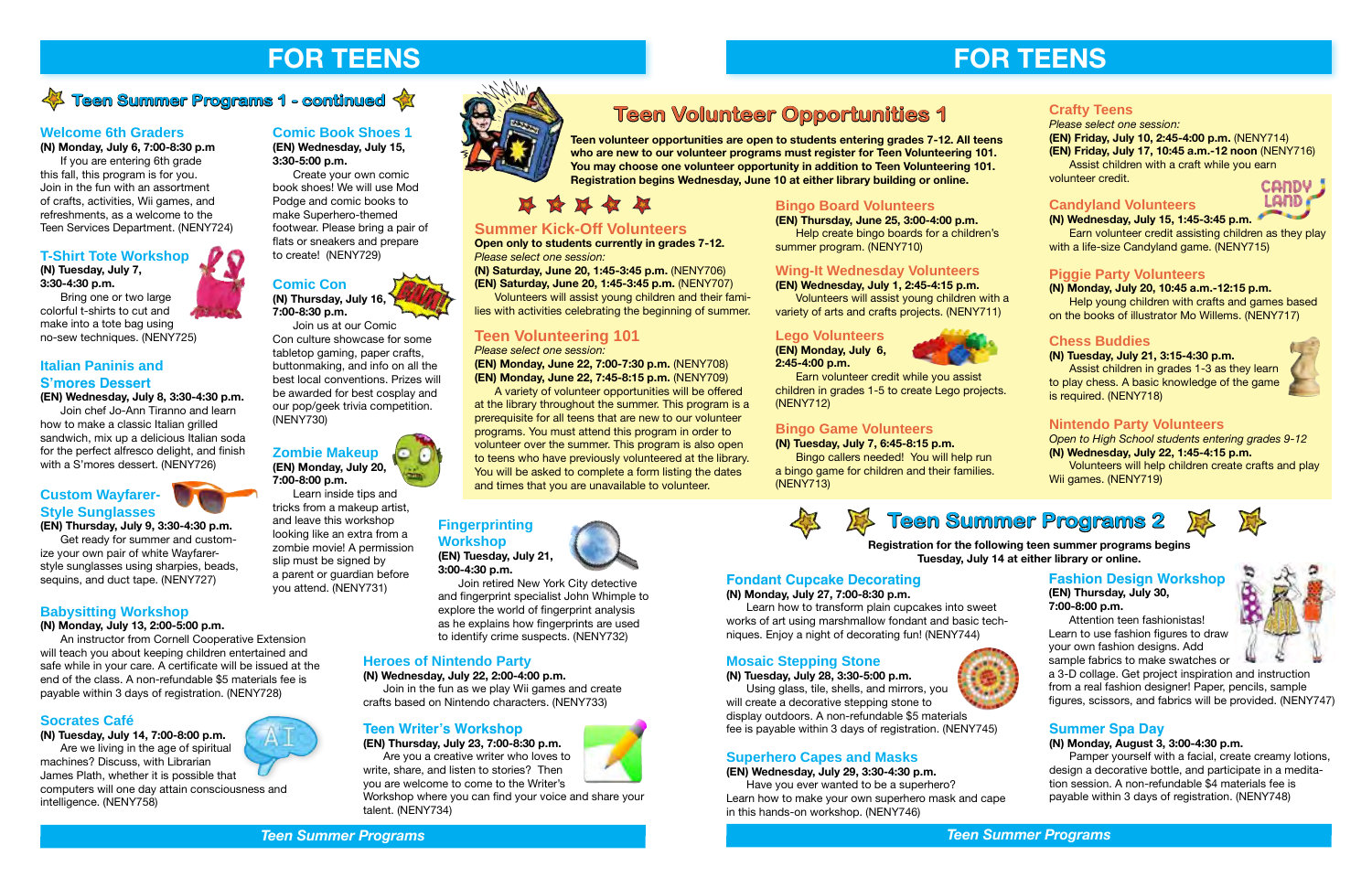### **Teen Writer's Workshop**

**(EN) Thursday, July 23, 7:00-8:30 p.m.** Are you a creative writer who loves to

write, share, and listen to stories? Then you are welcome to come to the Writer's Workshop where you can find your voice and share your

talent. (NENY734)

\*\*\*\*

### **Italian Paninis and S'mores Dessert**

### **(EN) Wednesday, July 8, 3:30-4:30 p.m.**

 Join chef Jo-Ann Tiranno and learn how to make a classic Italian grilled sandwich, mix up a delicious Italian soda for the perfect alfresco delight, and finish with a S'mores dessert. (NENY726)

### **Custom Wayfarer-Style Sunglasses**

## **(EN) Thursday, July 9, 3:30-4:30 p.m.**

Get ready for summer and customize your own pair of white Wayfarerstyle sunglasses using sharpies, beads, sequins, and duct tape. (NENY727)

### **Babysitting Workshop**

### **(N) Monday, July 13, 2:00-5:00 p.m.**

An instructor from Cornell Cooperative Extension will teach you about keeping children entertained and safe while in your care. A certificate will be issued at the end of the class. A non-refundable \$5 materials fee is payable within 3 days of registration. (NENY728)

### **Socrates Café**

**(N) Tuesday, July 14, 7:00-8:00 p.m.** Are we living in the age of spiritual machines? Discuss, with Librarian James Plath, whether it is possible that computers will one day attain consciousness and intelligence. (NENY758)

### **Comic Book Shoes 1 (EN) Wednesday, July 15,**

**3:30-5:00 p.m.**

Create your own comic book shoes! We will use Mod Podge and comic books to make Superhero-themed footwear. Please bring a pair of flats or sneakers and prepare to create! (NENY729)

### **Comic Con (N) Thursday, July 16,**

**7:00-8:30 p.m.** Join us at our Comic

Con culture showcase for some tabletop gaming, paper crafts, buttonmaking, and info on all the best local conventions. Prizes will be awarded for best cosplay and our pop/geek trivia competition. (NENY730)

### **Zombie Makeup (EN) Monday, July 20, 7:00-8:00 p.m.**

Learn inside tips and

tricks from a makeup artist, and leave this workshop looking like an extra from a zombie movie! A permission slip must be signed by a parent or guardian before

you attend. (NENY731)

**Fingerprinting** 

# **Workshop**

**(EN) Tuesday, July 21, 3:00-4:30 p.m.**

# Join retired New York City detective

Earn volunteer credit assisting children as they play with a life-size Candyland game. (NENY715)

and fingerprint specialist John Whimple to explore the world of fingerprint analysis as he explains how fingerprints are used to identify crime suspects. (NENY732)

### **Heroes of Nintendo Party**

### **(N) Wednesday, July 22, 2:00-4:00 p.m.**

Join in the fun as we play Wii games and create crafts based on Nintendo characters. (NENY733)

### **Fondant Cupcake Decorating**

**(N) Monday, July 27, 7:00-8:30 p.m.**

Learn how to transform plain cupcakes into sweet works of art using marshmallow fondant and basic techniques. Enjoy a night of decorating fun! (NENY744)













### **Fashion Design Workshop (EN) Thursday, July 30, 7:00-8:00 p.m.**

Attention teen fashionistas! Learn to use fashion figures to draw your own fashion designs. Add

sample fabrics to make swatches or a 3-D collage. Get project inspiration and instruction from a real fashion designer! Paper, pencils, sample figures, scissors, and fabrics will be provided. (NENY747)

### **Superhero Capes and Masks**

### **(EN) Wednesday, July 29, 3:30-4:30 p.m.**

Have you ever wanted to be a superhero? Learn how to make your own superhero mask and cape in this hands-on workshop. (NENY746)



### **Mosaic Stepping Stone (N) Tuesday, July 28, 3:30-5:00 p.m.**

Using glass, tile, shells, and mirrors, you will create a decorative stepping stone to display outdoors. A non-refundable \$5 materials fee is payable within 3 days of registration. (NENY745)

### **Registration for the following teen summer programs begins Tuesday, July 14 at either library or online.**

**Teen volunteer opportunities are open to students entering grades 7-12. All teens who are new to our volunteer programs must register for Teen Volunteering 101. You may choose one volunteer opportunity in addition to Teen Volunteering 101. Registration begins Wednesday, June 10 at either library building or online.**

### **Nintendo Party Volunteers**

*Open to High School students entering grades 9-12* **(N) Wednesday, July 22, 1:45-4:15 p.m.**

Volunteers will help children create crafts and play Wii games. (NENY719)

### **Chess Buddies**

**(N) Tuesday, July 21, 3:15-4:30 p.m.**

 Assist children in grades 1-3 as they learn to play chess. A basic knowledge of the game is required. (NENY718)

### **Piggie Party Volunteers**

### **(N) Monday, July 20, 10:45 a.m.-12:15 p.m.**

Help young children with crafts and games based on the books of illustrator Mo Willems. (NENY717)

### **Candyland Volunteers**

### **(N) Wednesday, July 15, 1:45-3:45 p.m.**

### **Crafty Teens**

*Please select one session:* **(EN) Friday, July 10, 2:45-4:00 p.m.** (NENY714) **(EN) Friday, July 17, 10:45 a.m.-12 noon** (NENY716) Assist children with a craft while you earn volunteer credit.

### **Bingo Game Volunteers**

### **(N) Tuesday, July 7, 6:45-8:15 p.m.**

Bingo callers needed! You will help run a bingo game for children and their families. (NENY713)







Earn volunteer credit while you assist children in grades 1-5 to create Lego projects. (NENY712)

**Wing-It Wednesday Volunteers (EN) Wednesday, July 1, 2:45-4:15 p.m.**

Volunteers will assist young children with a variety of arts and crafts projects. (NENY711)

**Bingo Board Volunteers**

### **(EN) Thursday, June 25, 3:00-4:00 p.m.** Help create bingo boards for a children's

summer program. (NENY710)

### **Teen Volunteering 101**

### *Please select one session:*

**(EN) Monday, June 22, 7:00-7:30 p.m.** (NENY708) **(EN) Monday, June 22, 7:45-8:15 p.m.** (NENY709)

 A variety of volunteer opportunities will be offered at the library throughout the summer. This program is a prerequisite for all teens that are new to our volunteer programs. You must attend this program in order to volunteer over the summer. This program is also open to teens who have previously volunteered at the library. You will be asked to complete a form listing the dates and times that you are unavailable to volunteer.

### **Summer Kick-Off Volunteers**

**Open only to students currently in grades 7-12.** *Please select one session:*

**(N) Saturday, June 20, 1:45-3:45 p.m.** (NENY706)

**(EN) Saturday, June 20, 1:45-3:45 p.m.** (NENY707)

Volunteers will assist young children and their families with activities celebrating the beginning of summer.

### **Welcome 6th Graders**

**(N) Monday, July 6, 7:00-8:30 p.m** 

 If you are entering 6th grade this fall, this program is for you. Join in the fun with an assortment of crafts, activities, Wii games, and refreshments, as a welcome to the Teen Services Department. (NENY724)

### **T-Shirt Tote Workshop**

### **(N) Tuesday, July 7, 3:30-4:30 p.m.**

Bring one or two large colorful t-shirts to cut and make into a tote bag using no-sew techniques. (NENY725)

### **Summer Spa Day**

### **(N) Monday, August 3, 3:00-4:30 p.m.**

Pamper yourself with a facial, create creamy lotions, design a decorative bottle, and participate in a meditation session. A non-refundable \$4 materials fee is payable within 3 days of registration. (NENY748)

## **Teen Summer Programs 2**









# **FOR TEENS FOR TEENS**

# *A* **Teen Summer Programs 1 - continued**  $\hat{X}$  **<b>Teen Volunteer Opportunities 1**